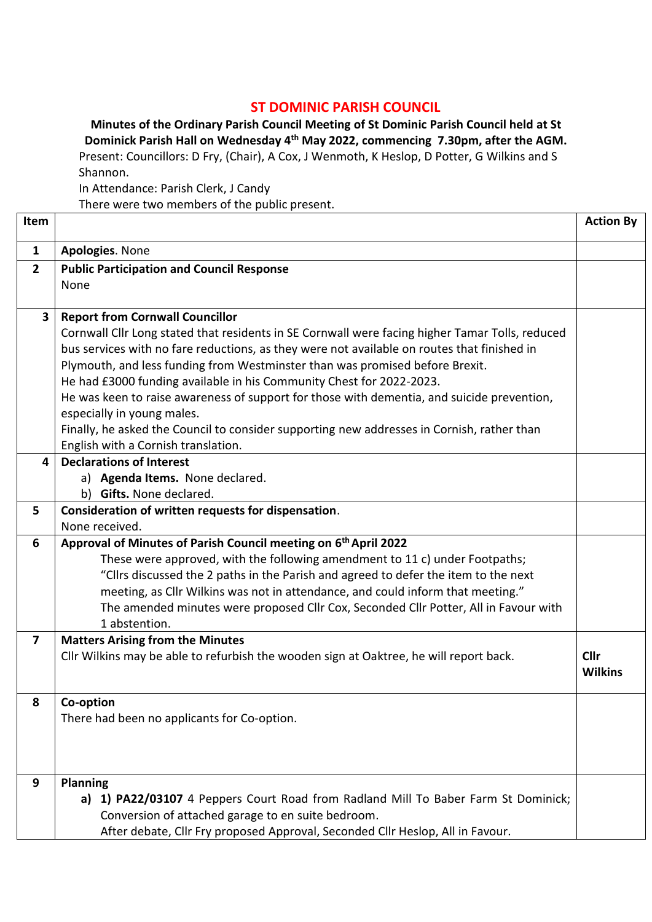## **ST DOMINIC PARISH COUNCIL**

**Minutes of the Ordinary Parish Council Meeting of St Dominic Parish Council held at St Dominick Parish Hall on Wednesday 4 th May 2022, commencing 7.30pm, after the AGM.** Present: Councillors: D Fry, (Chair), A Cox, J Wenmoth, K Heslop, D Potter, G Wilkins and S Shannon.

In Attendance: Parish Clerk, J Candy

There were two members of the public present.

| $\mathbf{1}$<br>Apologies. None<br>$\overline{2}$<br><b>Public Participation and Council Response</b><br>None<br>$\overline{\mathbf{3}}$<br><b>Report from Cornwall Councillor</b><br>Cornwall Cllr Long stated that residents in SE Cornwall were facing higher Tamar Tolls, reduced<br>bus services with no fare reductions, as they were not available on routes that finished in<br>Plymouth, and less funding from Westminster than was promised before Brexit.<br>He had £3000 funding available in his Community Chest for 2022-2023.<br>He was keen to raise awareness of support for those with dementia, and suicide prevention,<br>especially in young males.<br>Finally, he asked the Council to consider supporting new addresses in Cornish, rather than<br>English with a Cornish translation.<br><b>Declarations of Interest</b><br>4<br>a) Agenda Items. None declared.<br>b) Gifts. None declared.<br>Consideration of written requests for dispensation.<br>5<br>None received.<br>Approval of Minutes of Parish Council meeting on 6 <sup>th</sup> April 2022<br>6<br>These were approved, with the following amendment to 11 c) under Footpaths;<br>"Cllrs discussed the 2 paths in the Parish and agreed to defer the item to the next<br>meeting, as Cllr Wilkins was not in attendance, and could inform that meeting."<br>The amended minutes were proposed Cllr Cox, Seconded Cllr Potter, All in Favour with<br>1 abstention.<br>$\overline{\mathbf{z}}$<br><b>Matters Arising from the Minutes</b><br>Cllr Wilkins may be able to refurbish the wooden sign at Oaktree, he will report back.<br>Cllr<br><b>Wilkins</b><br>Co-option<br>8<br>There had been no applicants for Co-option.<br>Planning<br>9<br>a) 1) PA22/03107 4 Peppers Court Road from Radland Mill To Baber Farm St Dominick; | Item |                                                    | <b>Action By</b> |  |  |  |
|----------------------------------------------------------------------------------------------------------------------------------------------------------------------------------------------------------------------------------------------------------------------------------------------------------------------------------------------------------------------------------------------------------------------------------------------------------------------------------------------------------------------------------------------------------------------------------------------------------------------------------------------------------------------------------------------------------------------------------------------------------------------------------------------------------------------------------------------------------------------------------------------------------------------------------------------------------------------------------------------------------------------------------------------------------------------------------------------------------------------------------------------------------------------------------------------------------------------------------------------------------------------------------------------------------------------------------------------------------------------------------------------------------------------------------------------------------------------------------------------------------------------------------------------------------------------------------------------------------------------------------------------------------------------------------------------------------------------------------------------------------------------------------------------------------------------------|------|----------------------------------------------------|------------------|--|--|--|
|                                                                                                                                                                                                                                                                                                                                                                                                                                                                                                                                                                                                                                                                                                                                                                                                                                                                                                                                                                                                                                                                                                                                                                                                                                                                                                                                                                                                                                                                                                                                                                                                                                                                                                                                                                                                                            |      |                                                    |                  |  |  |  |
|                                                                                                                                                                                                                                                                                                                                                                                                                                                                                                                                                                                                                                                                                                                                                                                                                                                                                                                                                                                                                                                                                                                                                                                                                                                                                                                                                                                                                                                                                                                                                                                                                                                                                                                                                                                                                            |      |                                                    |                  |  |  |  |
|                                                                                                                                                                                                                                                                                                                                                                                                                                                                                                                                                                                                                                                                                                                                                                                                                                                                                                                                                                                                                                                                                                                                                                                                                                                                                                                                                                                                                                                                                                                                                                                                                                                                                                                                                                                                                            |      |                                                    |                  |  |  |  |
|                                                                                                                                                                                                                                                                                                                                                                                                                                                                                                                                                                                                                                                                                                                                                                                                                                                                                                                                                                                                                                                                                                                                                                                                                                                                                                                                                                                                                                                                                                                                                                                                                                                                                                                                                                                                                            |      |                                                    |                  |  |  |  |
|                                                                                                                                                                                                                                                                                                                                                                                                                                                                                                                                                                                                                                                                                                                                                                                                                                                                                                                                                                                                                                                                                                                                                                                                                                                                                                                                                                                                                                                                                                                                                                                                                                                                                                                                                                                                                            |      |                                                    |                  |  |  |  |
|                                                                                                                                                                                                                                                                                                                                                                                                                                                                                                                                                                                                                                                                                                                                                                                                                                                                                                                                                                                                                                                                                                                                                                                                                                                                                                                                                                                                                                                                                                                                                                                                                                                                                                                                                                                                                            |      |                                                    |                  |  |  |  |
|                                                                                                                                                                                                                                                                                                                                                                                                                                                                                                                                                                                                                                                                                                                                                                                                                                                                                                                                                                                                                                                                                                                                                                                                                                                                                                                                                                                                                                                                                                                                                                                                                                                                                                                                                                                                                            |      |                                                    |                  |  |  |  |
|                                                                                                                                                                                                                                                                                                                                                                                                                                                                                                                                                                                                                                                                                                                                                                                                                                                                                                                                                                                                                                                                                                                                                                                                                                                                                                                                                                                                                                                                                                                                                                                                                                                                                                                                                                                                                            |      |                                                    |                  |  |  |  |
|                                                                                                                                                                                                                                                                                                                                                                                                                                                                                                                                                                                                                                                                                                                                                                                                                                                                                                                                                                                                                                                                                                                                                                                                                                                                                                                                                                                                                                                                                                                                                                                                                                                                                                                                                                                                                            |      |                                                    |                  |  |  |  |
|                                                                                                                                                                                                                                                                                                                                                                                                                                                                                                                                                                                                                                                                                                                                                                                                                                                                                                                                                                                                                                                                                                                                                                                                                                                                                                                                                                                                                                                                                                                                                                                                                                                                                                                                                                                                                            |      |                                                    |                  |  |  |  |
|                                                                                                                                                                                                                                                                                                                                                                                                                                                                                                                                                                                                                                                                                                                                                                                                                                                                                                                                                                                                                                                                                                                                                                                                                                                                                                                                                                                                                                                                                                                                                                                                                                                                                                                                                                                                                            |      |                                                    |                  |  |  |  |
|                                                                                                                                                                                                                                                                                                                                                                                                                                                                                                                                                                                                                                                                                                                                                                                                                                                                                                                                                                                                                                                                                                                                                                                                                                                                                                                                                                                                                                                                                                                                                                                                                                                                                                                                                                                                                            |      |                                                    |                  |  |  |  |
|                                                                                                                                                                                                                                                                                                                                                                                                                                                                                                                                                                                                                                                                                                                                                                                                                                                                                                                                                                                                                                                                                                                                                                                                                                                                                                                                                                                                                                                                                                                                                                                                                                                                                                                                                                                                                            |      |                                                    |                  |  |  |  |
|                                                                                                                                                                                                                                                                                                                                                                                                                                                                                                                                                                                                                                                                                                                                                                                                                                                                                                                                                                                                                                                                                                                                                                                                                                                                                                                                                                                                                                                                                                                                                                                                                                                                                                                                                                                                                            |      |                                                    |                  |  |  |  |
|                                                                                                                                                                                                                                                                                                                                                                                                                                                                                                                                                                                                                                                                                                                                                                                                                                                                                                                                                                                                                                                                                                                                                                                                                                                                                                                                                                                                                                                                                                                                                                                                                                                                                                                                                                                                                            |      |                                                    |                  |  |  |  |
|                                                                                                                                                                                                                                                                                                                                                                                                                                                                                                                                                                                                                                                                                                                                                                                                                                                                                                                                                                                                                                                                                                                                                                                                                                                                                                                                                                                                                                                                                                                                                                                                                                                                                                                                                                                                                            |      |                                                    |                  |  |  |  |
|                                                                                                                                                                                                                                                                                                                                                                                                                                                                                                                                                                                                                                                                                                                                                                                                                                                                                                                                                                                                                                                                                                                                                                                                                                                                                                                                                                                                                                                                                                                                                                                                                                                                                                                                                                                                                            |      |                                                    |                  |  |  |  |
|                                                                                                                                                                                                                                                                                                                                                                                                                                                                                                                                                                                                                                                                                                                                                                                                                                                                                                                                                                                                                                                                                                                                                                                                                                                                                                                                                                                                                                                                                                                                                                                                                                                                                                                                                                                                                            |      |                                                    |                  |  |  |  |
|                                                                                                                                                                                                                                                                                                                                                                                                                                                                                                                                                                                                                                                                                                                                                                                                                                                                                                                                                                                                                                                                                                                                                                                                                                                                                                                                                                                                                                                                                                                                                                                                                                                                                                                                                                                                                            |      |                                                    |                  |  |  |  |
|                                                                                                                                                                                                                                                                                                                                                                                                                                                                                                                                                                                                                                                                                                                                                                                                                                                                                                                                                                                                                                                                                                                                                                                                                                                                                                                                                                                                                                                                                                                                                                                                                                                                                                                                                                                                                            |      |                                                    |                  |  |  |  |
|                                                                                                                                                                                                                                                                                                                                                                                                                                                                                                                                                                                                                                                                                                                                                                                                                                                                                                                                                                                                                                                                                                                                                                                                                                                                                                                                                                                                                                                                                                                                                                                                                                                                                                                                                                                                                            |      |                                                    |                  |  |  |  |
|                                                                                                                                                                                                                                                                                                                                                                                                                                                                                                                                                                                                                                                                                                                                                                                                                                                                                                                                                                                                                                                                                                                                                                                                                                                                                                                                                                                                                                                                                                                                                                                                                                                                                                                                                                                                                            |      |                                                    |                  |  |  |  |
|                                                                                                                                                                                                                                                                                                                                                                                                                                                                                                                                                                                                                                                                                                                                                                                                                                                                                                                                                                                                                                                                                                                                                                                                                                                                                                                                                                                                                                                                                                                                                                                                                                                                                                                                                                                                                            |      |                                                    |                  |  |  |  |
|                                                                                                                                                                                                                                                                                                                                                                                                                                                                                                                                                                                                                                                                                                                                                                                                                                                                                                                                                                                                                                                                                                                                                                                                                                                                                                                                                                                                                                                                                                                                                                                                                                                                                                                                                                                                                            |      |                                                    |                  |  |  |  |
|                                                                                                                                                                                                                                                                                                                                                                                                                                                                                                                                                                                                                                                                                                                                                                                                                                                                                                                                                                                                                                                                                                                                                                                                                                                                                                                                                                                                                                                                                                                                                                                                                                                                                                                                                                                                                            |      |                                                    |                  |  |  |  |
|                                                                                                                                                                                                                                                                                                                                                                                                                                                                                                                                                                                                                                                                                                                                                                                                                                                                                                                                                                                                                                                                                                                                                                                                                                                                                                                                                                                                                                                                                                                                                                                                                                                                                                                                                                                                                            |      |                                                    |                  |  |  |  |
|                                                                                                                                                                                                                                                                                                                                                                                                                                                                                                                                                                                                                                                                                                                                                                                                                                                                                                                                                                                                                                                                                                                                                                                                                                                                                                                                                                                                                                                                                                                                                                                                                                                                                                                                                                                                                            |      |                                                    |                  |  |  |  |
|                                                                                                                                                                                                                                                                                                                                                                                                                                                                                                                                                                                                                                                                                                                                                                                                                                                                                                                                                                                                                                                                                                                                                                                                                                                                                                                                                                                                                                                                                                                                                                                                                                                                                                                                                                                                                            |      |                                                    |                  |  |  |  |
|                                                                                                                                                                                                                                                                                                                                                                                                                                                                                                                                                                                                                                                                                                                                                                                                                                                                                                                                                                                                                                                                                                                                                                                                                                                                                                                                                                                                                                                                                                                                                                                                                                                                                                                                                                                                                            |      |                                                    |                  |  |  |  |
|                                                                                                                                                                                                                                                                                                                                                                                                                                                                                                                                                                                                                                                                                                                                                                                                                                                                                                                                                                                                                                                                                                                                                                                                                                                                                                                                                                                                                                                                                                                                                                                                                                                                                                                                                                                                                            |      |                                                    |                  |  |  |  |
|                                                                                                                                                                                                                                                                                                                                                                                                                                                                                                                                                                                                                                                                                                                                                                                                                                                                                                                                                                                                                                                                                                                                                                                                                                                                                                                                                                                                                                                                                                                                                                                                                                                                                                                                                                                                                            |      |                                                    |                  |  |  |  |
|                                                                                                                                                                                                                                                                                                                                                                                                                                                                                                                                                                                                                                                                                                                                                                                                                                                                                                                                                                                                                                                                                                                                                                                                                                                                                                                                                                                                                                                                                                                                                                                                                                                                                                                                                                                                                            |      |                                                    |                  |  |  |  |
|                                                                                                                                                                                                                                                                                                                                                                                                                                                                                                                                                                                                                                                                                                                                                                                                                                                                                                                                                                                                                                                                                                                                                                                                                                                                                                                                                                                                                                                                                                                                                                                                                                                                                                                                                                                                                            |      | Conversion of attached garage to en suite bedroom. |                  |  |  |  |
| After debate, Cllr Fry proposed Approval, Seconded Cllr Heslop, All in Favour.                                                                                                                                                                                                                                                                                                                                                                                                                                                                                                                                                                                                                                                                                                                                                                                                                                                                                                                                                                                                                                                                                                                                                                                                                                                                                                                                                                                                                                                                                                                                                                                                                                                                                                                                             |      |                                                    |                  |  |  |  |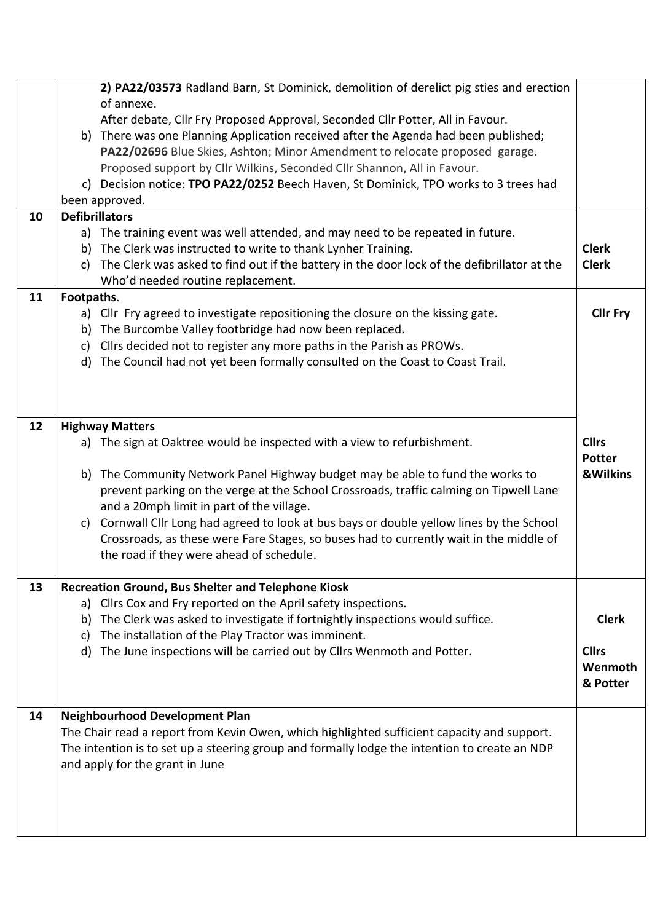|    | 2) PA22/03573 Radland Barn, St Dominick, demolition of derelict pig sties and erection<br>of annexe.<br>After debate, Cllr Fry Proposed Approval, Seconded Cllr Potter, All in Favour.<br>b) There was one Planning Application received after the Agenda had been published;<br>PA22/02696 Blue Skies, Ashton; Minor Amendment to relocate proposed garage.<br>Proposed support by Cllr Wilkins, Seconded Cllr Shannon, All in Favour.<br>c) Decision notice: TPO PA22/0252 Beech Haven, St Dominick, TPO works to 3 trees had<br>been approved.             |                                                      |
|----|---------------------------------------------------------------------------------------------------------------------------------------------------------------------------------------------------------------------------------------------------------------------------------------------------------------------------------------------------------------------------------------------------------------------------------------------------------------------------------------------------------------------------------------------------------------|------------------------------------------------------|
| 10 | <b>Defibrillators</b><br>a) The training event was well attended, and may need to be repeated in future.<br>The Clerk was instructed to write to thank Lynher Training.<br>b)<br>The Clerk was asked to find out if the battery in the door lock of the defibrillator at the<br>c)<br>Who'd needed routine replacement.                                                                                                                                                                                                                                       | <b>Clerk</b><br><b>Clerk</b>                         |
| 11 | Footpaths.<br>a) Cllr Fry agreed to investigate repositioning the closure on the kissing gate.<br>b) The Burcombe Valley footbridge had now been replaced.<br>Cllrs decided not to register any more paths in the Parish as PROWs.<br>c)<br>d) The Council had not yet been formally consulted on the Coast to Coast Trail.                                                                                                                                                                                                                                   | <b>Cllr Fry</b>                                      |
| 12 | <b>Highway Matters</b><br>a) The sign at Oaktree would be inspected with a view to refurbishment.<br>b) The Community Network Panel Highway budget may be able to fund the works to<br>prevent parking on the verge at the School Crossroads, traffic calming on Tipwell Lane<br>and a 20mph limit in part of the village.<br>c) Cornwall Cllr Long had agreed to look at bus bays or double yellow lines by the School<br>Crossroads, as these were Fare Stages, so buses had to currently wait in the middle of<br>the road if they were ahead of schedule. | <b>Cllrs</b><br><b>Potter</b><br><b>&amp;Wilkins</b> |
| 13 | <b>Recreation Ground, Bus Shelter and Telephone Kiosk</b><br>a) Cllrs Cox and Fry reported on the April safety inspections.<br>The Clerk was asked to investigate if fortnightly inspections would suffice.<br>b)<br>The installation of the Play Tractor was imminent.<br>c)<br>The June inspections will be carried out by Cllrs Wenmoth and Potter.<br>d)                                                                                                                                                                                                  | <b>Clerk</b><br><b>Cllrs</b><br>Wenmoth<br>& Potter  |
| 14 | <b>Neighbourhood Development Plan</b><br>The Chair read a report from Kevin Owen, which highlighted sufficient capacity and support.<br>The intention is to set up a steering group and formally lodge the intention to create an NDP<br>and apply for the grant in June                                                                                                                                                                                                                                                                                      |                                                      |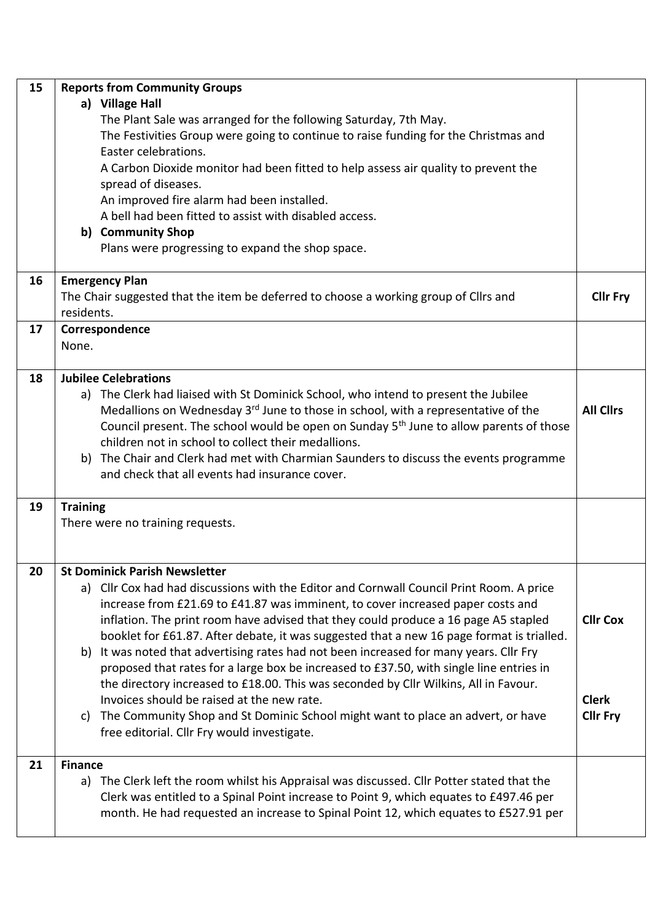| 15 | <b>Reports from Community Groups</b>                                                               |                  |  |  |  |
|----|----------------------------------------------------------------------------------------------------|------------------|--|--|--|
|    | a) Village Hall                                                                                    |                  |  |  |  |
|    | The Plant Sale was arranged for the following Saturday, 7th May.                                   |                  |  |  |  |
|    | The Festivities Group were going to continue to raise funding for the Christmas and                |                  |  |  |  |
|    | Easter celebrations.                                                                               |                  |  |  |  |
|    | A Carbon Dioxide monitor had been fitted to help assess air quality to prevent the                 |                  |  |  |  |
|    | spread of diseases.                                                                                |                  |  |  |  |
|    | An improved fire alarm had been installed.                                                         |                  |  |  |  |
|    | A bell had been fitted to assist with disabled access.                                             |                  |  |  |  |
|    | b) Community Shop                                                                                  |                  |  |  |  |
|    | Plans were progressing to expand the shop space.                                                   |                  |  |  |  |
|    |                                                                                                    |                  |  |  |  |
| 16 | <b>Emergency Plan</b>                                                                              |                  |  |  |  |
|    | The Chair suggested that the item be deferred to choose a working group of Cllrs and               | <b>Cllr Fry</b>  |  |  |  |
|    | residents.                                                                                         |                  |  |  |  |
| 17 | Correspondence                                                                                     |                  |  |  |  |
|    | None.                                                                                              |                  |  |  |  |
|    |                                                                                                    |                  |  |  |  |
| 18 | <b>Jubilee Celebrations</b>                                                                        |                  |  |  |  |
|    | a) The Clerk had liaised with St Dominick School, who intend to present the Jubilee                |                  |  |  |  |
|    | Medallions on Wednesday 3 <sup>rd</sup> June to those in school, with a representative of the      | <b>All Clirs</b> |  |  |  |
|    | Council present. The school would be open on Sunday 5 <sup>th</sup> June to allow parents of those |                  |  |  |  |
|    | children not in school to collect their medallions.                                                |                  |  |  |  |
|    | b) The Chair and Clerk had met with Charmian Saunders to discuss the events programme              |                  |  |  |  |
|    | and check that all events had insurance cover.                                                     |                  |  |  |  |
|    |                                                                                                    |                  |  |  |  |
| 19 | <b>Training</b>                                                                                    |                  |  |  |  |
|    | There were no training requests.                                                                   |                  |  |  |  |
|    |                                                                                                    |                  |  |  |  |
|    |                                                                                                    |                  |  |  |  |
| 20 | <b>St Dominick Parish Newsletter</b>                                                               |                  |  |  |  |
|    | a) Cllr Cox had had discussions with the Editor and Cornwall Council Print Room. A price           |                  |  |  |  |
|    | increase from £21.69 to £41.87 was imminent, to cover increased paper costs and                    |                  |  |  |  |
|    | inflation. The print room have advised that they could produce a 16 page A5 stapled                | <b>Cllr Cox</b>  |  |  |  |
|    | booklet for £61.87. After debate, it was suggested that a new 16 page format is trialled.          |                  |  |  |  |
|    | It was noted that advertising rates had not been increased for many years. Cllr Fry<br>b)          |                  |  |  |  |
|    | proposed that rates for a large box be increased to £37.50, with single line entries in            |                  |  |  |  |
|    | the directory increased to £18.00. This was seconded by Cllr Wilkins, All in Favour.               |                  |  |  |  |
|    | Invoices should be raised at the new rate.                                                         | <b>Clerk</b>     |  |  |  |
|    | The Community Shop and St Dominic School might want to place an advert, or have<br>C)              | <b>Cllr Fry</b>  |  |  |  |
|    | free editorial. Cllr Fry would investigate.                                                        |                  |  |  |  |
|    |                                                                                                    |                  |  |  |  |
| 21 | <b>Finance</b>                                                                                     |                  |  |  |  |
|    | a) The Clerk left the room whilst his Appraisal was discussed. Cllr Potter stated that the         |                  |  |  |  |
|    | Clerk was entitled to a Spinal Point increase to Point 9, which equates to £497.46 per             |                  |  |  |  |
|    | month. He had requested an increase to Spinal Point 12, which equates to £527.91 per               |                  |  |  |  |
|    |                                                                                                    |                  |  |  |  |